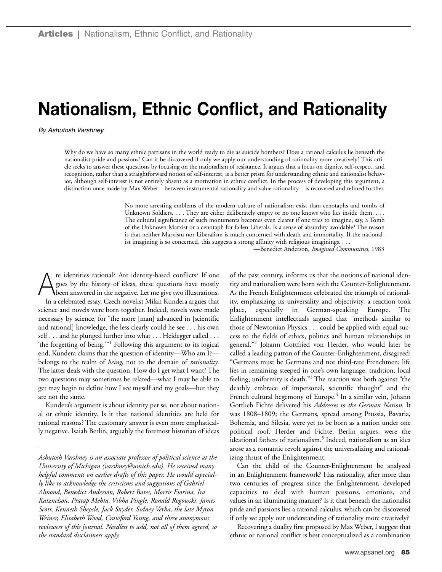# **Nationalism, Ethnic Conflict, and Rationality**

#### *By Ashutosh Varshney*

Why do we have so many ethnic partisans in the world ready to die as suicide bombers? Does a rational calculus lie beneath the nationalist pride and passions? Can it be discovered if only we apply our understanding of rationality more creatively? This article seeks to answer these questions by focusing on the nationalism of resistance. It argues that a focus on dignity, self-respect, and recognition, rather than a straightforward notion of self-interest, is a better prism for understanding ethnic and nationalist behavior, although self-interest is not entirely absent as a motivation in ethnic conflict. In the process of developing this argument, a distinction once made by Max Weber—between instrumental rationality and value rationality—is recovered and refined further.

> No more arresting emblems of the modern culture of nationalism exist than cenotaphs and tombs of Unknown Soldiers. . . . They are either deliberately empty or no one knows who lies inside them. . . . The cultural significance of such monuments becomes even clearer if one tries to imagine, say, a Tomb of the Unknown Marxist or a cenotaph for fallen Liberals. Is a sense of absurdity avoidable? The reason is that neither Marxism nor Liberalism is much concerned with death and immortality. If the nationalist imagining is so concerned, this suggests a strong affinity with religious imaginings....

—Benedict Anderson, *Imagined Communities,* 1983

Are identities rational? Are identity-based conflicts? If one<br>goes by the history of ideas, these questions have mostly<br>been answered in the negative. Let me give two illustrations. goes by the history of ideas, these questions have mostly In a celebrated essay, Czech novelist Milan Kundera argues that science and novels were born together. Indeed, novels were made necessary by science, for "the more [man] advanced in [scientific and rational] knowledge, the less clearly could he see . . . his own self... and he plunged further into what ... Heidegger called... 'the forgetting of being.'"1 Following this argument to its logical end, Kundera claims that the question of identity—Who am I? belongs to the realm of *being,* not to the domain of *rationality*. The latter deals with the question, How do I get what I want? The two questions may sometimes be related—what I may be able to get may begin to define how I see myself and my goals—but they are not the same.

Kundera's argument is about identity per se, not about national or ethnic identity. Is it that national identities are held for rational reasons? The customary answer is even more emphatically negative. Isaiah Berlin, arguably the foremost historian of ideas

*Ashutosh Varshney is an associate professor of political science at the University of Michigan (varshney@umich.edu). He received many helpful comments on earlier drafts of this paper. He would especially like to acknowledge the criticisms and suggestions of Gabriel Almond, Benedict Anderson, Robert Bates, Morris Fiorina, Ira Katznelson, Pratap Mehta, Vibha Pingle, Ronald Rogowski, James Scott, Kenneth Shepsle, Jack Snyder, Sidney Verba, the late Myron Weiner, Elisabeth Wood, Crawford Young, and three anonymous reviewers of this journal. Needless to add, not all of them agreed, so the standard disclaimers apply.* 

of the past century, informs us that the notions of national identity and nationalism were born with the Counter-Enlightenment. As the French Enlightenment celebrated the triumph of rationality, emphasizing its universality and objectivity, a reaction took place, especially in German-speaking Europe. The Enlightenment intellectuals argued that "methods similar to those of Newtonian Physics . . . could be applied with equal success to the fields of ethics, politics and human relationships in general."2 Johann Gottfried von Herder, who would later be called a leading patron of the Counter-Enlightenment, disagreed: "Germans must be Germans and not third-rate Frenchmen; life lies in remaining steeped in one's own language, tradition, local feeling; uniformity is death."3 The reaction was both against "the deathly embrace of impersonal, scientific thought" and the French cultural hegemony of Europe.<sup>4</sup> In a similar vein, Johann Gottlieb Fichte delivered his *Addresses to the German Nation.* It was 1808–1809; the Germans, spread among Prussia, Bavaria, Bohemia, and Silesia, were yet to be born as a nation under one political roof. Herder and Fichte, Berlin argues, were the ideational fathers of nationalism.<sup>5</sup> Indeed, nationalism as an idea arose as a romantic revolt against the universalizing and rationalizing thrust of the Enlightenment.

Can the child of the Counter-Enlightenment be analyzed in an Enlightenment framework? Has rationality, after more than two centuries of progress since the Enlightenment, developed capacities to deal with human passions, emotions, and values in an illuminating manner? Is it that beneath the nationalist pride and passions lies a rational calculus, which can be discovered if only we apply our understanding of rationality more creatively?

Recovering a duality first proposed by Max Weber, I suggest that ethnic or national conflict is best conceptualized as a combination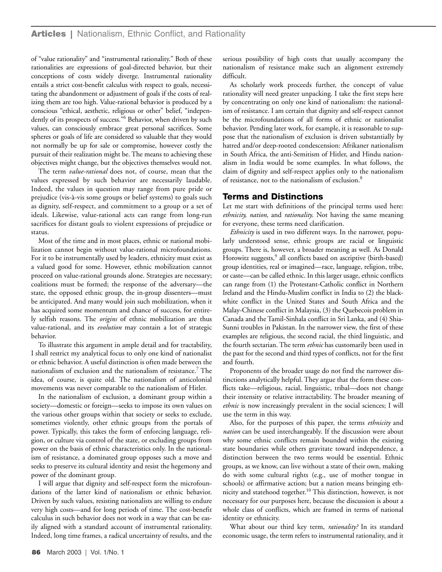of "value rationality" and "instrumental rationality." Both of these rationalities are expressions of goal-directed behavior, but their conceptions of costs widely diverge. Instrumental rationality entails a strict cost-benefit calculus with respect to goals, necessitating the abandonment or adjustment of goals if the costs of realizing them are too high. Value-rational behavior is produced by a conscious "ethical, aesthetic, religious or other" belief, "independently of its prospects of success.<sup>"6</sup> Behavior, when driven by such values, can consciously embrace great personal sacrifices. Some spheres or goals of life are considered so valuable that they would not normally be up for sale or compromise, however costly the pursuit of their realization might be. The means to achieving these objectives might change, but the objectives themselves would not.

The term *value-rational* does not, of course, mean that the values expressed by such behavior are necessarily laudable. Indeed, the values in question may range from pure pride or prejudice (vis-à-vis some groups or belief systems) to goals such as dignity, self-respect, and commitment to a group or a set of ideals. Likewise, value-rational acts can range from long-run sacrifices for distant goals to violent expressions of prejudice or status.

Most of the time and in most places, ethnic or national mobilization cannot begin without value-rational microfoundations. For it to be instrumentally used by leaders, ethnicity must exist as a valued good for some. However, ethnic mobilization cannot proceed on value-rational grounds alone. Strategies are necessary; coalitions must be formed; the response of the adversary—the state, the opposed ethnic group, the in-group dissenters—must be anticipated. And many would join such mobilization, when it has acquired some momentum and chance of success, for entirely selfish reasons. The *origins* of ethnic mobilization are thus value-rational, and its *evolution* may contain a lot of strategic behavior.

To illustrate this argument in ample detail and for tractability, I shall restrict my analytical focus to only one kind of nationalist or ethnic behavior. A useful distinction is often made between the nationalism of exclusion and the nationalism of resistance.<sup>7</sup> The idea, of course, is quite old. The nationalism of anticolonial movements was never comparable to the nationalism of Hitler.

In the nationalism of exclusion, a dominant group within a society—domestic or foreign—seeks to impose its own values on the various other groups within that society or seeks to exclude, sometimes violently, other ethnic groups from the portals of power. Typically, this takes the form of enforcing language, religion, or culture via control of the state, or excluding groups from power on the basis of ethnic characteristics only. In the nationalism of resistance, a dominated group opposes such a move and seeks to preserve its cultural identity and resist the hegemony and power of the dominant group.

I will argue that dignity and self-respect form the microfoundations of the latter kind of nationalism or ethnic behavior. Driven by such values, resisting nationalists are willing to endure very high costs—and for long periods of time. The cost-benefit calculus in such behavior does not work in a way that can be easily aligned with a standard account of instrumental rationality. Indeed, long time frames, a radical uncertainty of results, and the serious possibility of high costs that usually accompany the nationalism of resistance make such an alignment extremely difficult.

As scholarly work proceeds further, the concept of value rationality will need greater unpacking. I take the first steps here by concentrating on only one kind of nationalism: the nationalism of resistance. I am certain that dignity and self-respect cannot be the microfoundations of all forms of ethnic or nationalist behavior. Pending later work, for example, it is reasonable to suppose that the nationalism of exclusion is driven substantially by hatred and/or deep-rooted condescension: Afrikaner nationalism in South Africa, the anti-Semitism of Hitler, and Hindu nationalism in India would be some examples. In what follows, the claim of dignity and self-respect applies only to the nationalism of resistance, not to the nationalism of exclusion.<sup>8</sup>

## **Terms and Distinctions**

Let me start with definitions of the principal terms used here: *ethnicity, nation,* and *rationality*. Not having the same meaning for everyone, these terms need clarification.

*Ethnicity* is used in two different ways. In the narrower, popularly understood sense, ethnic groups are racial or linguistic groups. There is, however, a broader meaning as well. As Donald Horowitz suggests,<sup>9</sup> all conflicts based on ascriptive (birth-based) group identities, real or imagined—race, language, religion, tribe, or caste—can be called ethnic. In this larger usage, ethnic conflicts can range from (1) the Protestant-Catholic conflict in Northern Ireland and the Hindu-Muslim conflict in India to (2) the blackwhite conflict in the United States and South Africa and the Malay-Chinese conflict in Malaysia, (3) the Quebecois problem in Canada and the Tamil-Sinhala conflict in Sri Lanka, and (4) Shia-Sunni troubles in Pakistan. In the narrower view, the first of these examples are religious, the second racial, the third linguistic, and the fourth sectarian. The term *ethnic* has customarily been used in the past for the second and third types of conflicts, not for the first and fourth.

Proponents of the broader usage do not find the narrower distinctions analytically helpful. They argue that the form these conflicts take—religious, racial, linguistic, tribal—does not change their intensity or relative intractability. The broader meaning of *ethnic* is now increasingly prevalent in the social sciences; I will use the term in this way.

Also, for the purposes of this paper, the terms *ethnicity* and *nation* can be used interchangeably. If the discussion were about why some ethnic conflicts remain bounded within the existing state boundaries while others gravitate toward independence, a distinction between the two terms would be essential. Ethnic groups, as we know, can live without a state of their own, making do with some cultural rights (e.g., use of mother tongue in schools) or affirmative action; but a nation means bringing ethnicity and statehood together.10 This distinction, however, is not necessary for our purposes here, because the discussion is about a whole class of conflicts, which are framed in terms of national identity or ethnicity.

What about our third key term, *rationality?* In its standard economic usage, the term refers to instrumental rationality, and it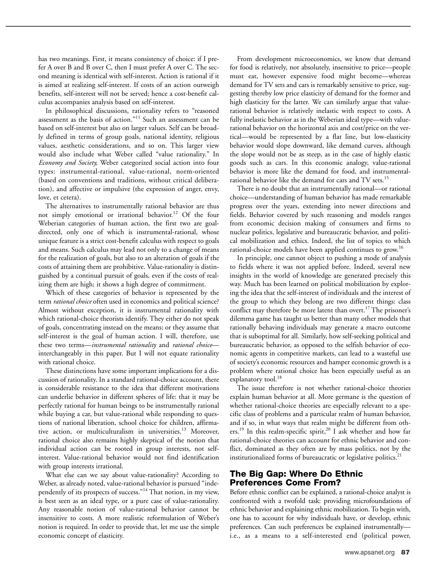has two meanings. First, it means consistency of choice: if I prefer A over B and B over C, then I must prefer A over C. The second meaning is identical with self-interest. Action is rational if it is aimed at realizing self-interest. If costs of an action outweigh benefits, self-interest will not be served; hence a cost-benefit calculus accompanies analysis based on self-interest.

In philosophical discussions, rationality refers to "reasoned assessment as the basis of action."<sup>11</sup> Such an assessment can be based on self-interest but also on larger values. Self can be broadly defined in terms of group goals, national identity, religious values, aesthetic considerations, and so on. This larger view would also include what Weber called "value rationality." In *Economy and Society,* Weber categorized social action into four types: instrumental-rational, value-rational, norm-oriented (based on conventions and traditions, without critical deliberation), and affective or impulsive (the expression of anger, envy, love, et cetera).

The alternatives to instrumentally rational behavior are thus not simply emotional or irrational behavior.<sup>12</sup> Of the four Weberian categories of human action, the first two are goaldirected, only one of which is instrumental-rational, whose unique feature is a strict cost-benefit calculus with respect to goals and means. Such calculus may lead not only to a change of means for the realization of goals, but also to an alteration of goals if the costs of attaining them are prohibitive. Value-rationality is distinguished by a continual pursuit of goals, even if the costs of realizing them are high; it shows a high degree of commitment.

Which of these categories of behavior is represented by the term *rational choice* often used in economics and political science? Almost without exception, it is instrumental rationality with which rational-choice theorists identify. They either do not speak of goals, concentrating instead on the means; or they assume that self-interest is the goal of human action. I will, therefore, use these two terms—*instrumental rationality* and *rational choice* interchangeably in this paper. But I will not equate rationality with rational choice.

These distinctions have some important implications for a discussion of rationality. In a standard rational-choice account, there is considerable resistance to the idea that different motivations can underlie behavior in different spheres of life: that it may be perfectly rational for human beings to be instrumentally rational while buying a car, but value-rational while responding to questions of national liberation, school choice for children, affirmative action, or multiculturalism in universities.<sup>13</sup> Moreover, rational choice also remains highly skeptical of the notion that individual action can be rooted in group interests, not selfinterest. Value-rational behavior would not find identification with group interests irrational.

What else can we say about value-rationality? According to Weber, as already noted, value-rational behavior is pursued "independently of its prospects of success."<sup>14</sup> That notion, in my view, is best seen as an ideal type, or a pure case of value-rationality. Any reasonable notion of value-rational behavior cannot be insensitive to costs. A more realistic reformulation of Weber's notion is required. In order to provide that, let me use the simple economic concept of elasticity.

From development microeconomics, we know that demand for food is relatively, not absolutely, insensitive to price—people must eat, however expensive food might become—whereas demand for TV sets and cars is remarkably sensitive to price, suggesting thereby low price elasticity of demand for the former and high elasticity for the latter. We can similarly argue that valuerational behavior is relatively inelastic with respect to costs. A fully inelastic behavior as in the Weberian ideal type—with valuerational behavior on the horizontal axis and cost/price on the vertical—would be represented by a flat line, but low-elasticity behavior would slope downward, like demand curves, although the slope would not be as steep, as in the case of highly elastic goods such as cars. In this economic analogy, value-rational behavior is more like the demand for food, and instrumentalrational behavior like the demand for cars and TV sets.<sup>15</sup>

There is no doubt that an instrumentally rational—or rational choice—understanding of human behavior has made remarkable progress over the years, extending into newer directions and fields. Behavior covered by such reasoning and models ranges from economic decision making of consumers and firms to nuclear politics, legislative and bureaucratic behavior, and political mobilization and ethics. Indeed, the list of topics to which rational-choice models have been applied continues to grow.<sup>16</sup>

In principle, one cannot object to pushing a mode of analysis to fields where it was not applied before. Indeed, several new insights in the world of knowledge are generated precisely this way. Much has been learned on political mobilization by exploring the idea that the self-interest of individuals and the interest of the group to which they belong are two different things: class conflict may therefore be more latent than overt.<sup>17</sup> The prisoner's dilemma game has taught us better than many other models that rationally behaving individuals may generate a macro outcome that is suboptimal for all. Similarly, how self-seeking political and bureaucratic behavior, as opposed to the selfish behavior of economic agents in competitive markets, can lead to a wasteful use of society's economic resources and hamper economic growth is a problem where rational choice has been especially useful as an explanatory tool.<sup>18</sup>

The issue therefore is not whether rational-choice theories explain human behavior at all. More germane is the question of whether rational-choice theories are especially relevant to a specific class of problems and a particular realm of human behavior, and if so, in what ways that realm might be different from others.<sup>19</sup> In this realm-specific spirit,<sup>20</sup> I ask whether and how far rational-choice theories can account for ethnic behavior and conflict, dominated as they often are by mass politics, not by the institutionalized forms of bureaucratic or legislative politics.<sup>21</sup>

# **The Big Gap: Where Do Ethnic Preferences Come From?**

Before ethnic conflict can be explained, a rational-choice analyst is confronted with a twofold task: providing microfoundations of ethnic behavior and explaining ethnic mobilization. To begin with, one has to account for why individuals have, or develop, ethnic preferences. Can such preferences be explained instrumentally i.e., as a means to a self-interested end (political power,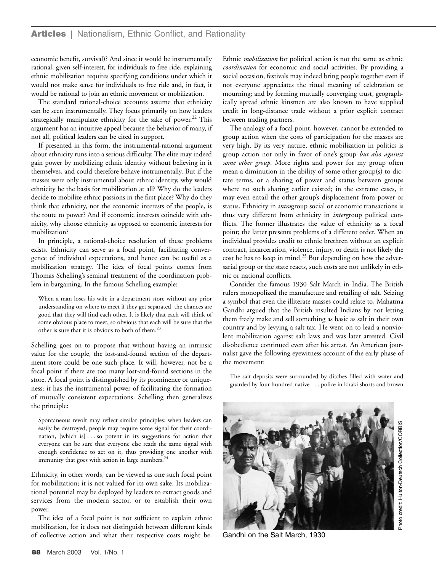economic benefit, survival)? And since it would be instrumentally rational, given self-interest, for individuals to free ride, explaining ethnic mobilization requires specifying conditions under which it would not make sense for individuals to free ride and, in fact, it would be rational to join an ethnic movement or mobilization.

The standard rational-choice accounts assume that ethnicity can be seen instrumentally. They focus primarily on how leaders strategically manipulate ethnicity for the sake of power.<sup>22</sup> This argument has an intuitive appeal because the behavior of many, if not all, political leaders can be cited in support.

If presented in this form, the instrumental-rational argument about ethnicity runs into a serious difficulty. The elite may indeed gain power by mobilizing ethnic identity without believing in it themselves, and could therefore behave instrumentally. But if the masses were only instrumental about ethnic identity, why would ethnicity be the basis for mobilization at all? Why do the leaders decide to mobilize ethnic passions in the first place? Why do they think that ethnicity, not the economic interests of the people, is the route to power? And if economic interests coincide with ethnicity, why choose ethnicity as opposed to economic interests for mobilization?

In principle, a rational-choice resolution of these problems exists. Ethnicity can serve as a focal point, facilitating convergence of individual expectations, and hence can be useful as a mobilization strategy. The idea of focal points comes from Thomas Schelling's seminal treatment of the coordination problem in bargaining. In the famous Schelling example:

When a man loses his wife in a department store without any prior understanding on where to meet if they get separated, the chances are good that they will find each other. It is likely that each will think of some obvious place to meet, so obvious that each will be sure that the other is sure that it is obvious to both of them.<sup>23</sup>

Schelling goes on to propose that without having an intrinsic value for the couple, the lost-and-found section of the department store could be one such place. It will, however, not be a focal point if there are too many lost-and-found sections in the store. A focal point is distinguished by its prominence or uniqueness: it has the instrumental power of facilitating the formation of mutually consistent expectations. Schelling then generalizes the principle:

Spontaneous revolt may reflect similar principles: when leaders can easily be destroyed, people may require some signal for their coordination, [which is] . . . so potent in its suggestions for action that everyone can be sure that everyone else reads the same signal with enough confidence to act on it, thus providing one another with immunity that goes with action in large numbers. $^{24}$ 

Ethnicity, in other words, can be viewed as one such focal point for mobilization; it is not valued for its own sake. Its mobilizational potential may be deployed by leaders to extract goods and services from the modern sector, or to establish their own power.

The idea of a focal point is not sufficient to explain ethnic mobilization, for it does not distinguish between different kinds of collective action and what their respective costs might be.

Ethnic *mobilization* for political action is not the same as ethnic *coordination* for economic and social activities. By providing a social occasion, festivals may indeed bring people together even if not everyone appreciates the ritual meaning of celebration or mourning; and by forming mutually converging trust, geographically spread ethnic kinsmen are also known to have supplied credit in long-distance trade without a prior explicit contract between trading partners.

The analogy of a focal point, however, cannot be extended to group action when the costs of participation for the masses are very high. By its very nature, ethnic mobilization in politics is group action not only in favor of one's group *but also against some other group.* More rights and power for my group often mean a diminution in the ability of some other group(s) to dictate terms, or a sharing of power and status between groups where no such sharing earlier existed; in the extreme cases, it may even entail the other group's displacement from power or status. Ethnicity in *intra*group social or economic transactions is thus very different from ethnicity in *inter*group political conflicts. The former illustrates the value of ethnicity as a focal point; the latter presents problems of a different order. When an individual provides credit to ethnic brethren without an explicit contract, incarceration, violence, injury, or death is not likely the cost he has to keep in mind.<sup>25</sup> But depending on how the adversarial group or the state reacts, such costs are not unlikely in ethnic or national conflicts.

Consider the famous 1930 Salt March in India. The British rulers monopolized the manufacture and retailing of salt. Seizing a symbol that even the illiterate masses could relate to, Mahatma Gandhi argued that the British insulted Indians by not letting them freely make and sell something as basic as salt in their own country and by levying a salt tax. He went on to lead a nonviolent mobilization against salt laws and was later arrested. Civil disobedience continued even after his arrest. An American journalist gave the following eyewitness account of the early phase of the movement:

The salt deposits were surrounded by ditches filled with water and guarded by four hundred native... police in khaki shorts and brown



Gandhi on the Salt March, 1930

Photo credit: Hulton-Deutsch Collection/CORBIS Photo credit: Hulton-Deutsch Collection/CORBIS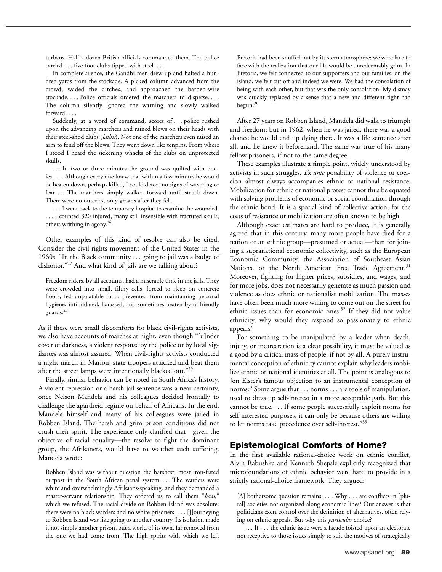turbans. Half a dozen British officials commanded them. The police carried . . . five-foot clubs tipped with steel....

In complete silence, the Gandhi men drew up and halted a hundred yards from the stockade. A picked column advanced from the crowd, waded the ditches, and approached the barbed-wire stockade....Police officials ordered the marchers to disperse.... The column silently ignored the warning and slowly walked forward. . . .

Suddenly, at a word of command, scores of... police rushed upon the advancing marchers and rained blows on their heads with their steel-shod clubs (*lathis*). Not one of the marchers even raised an arm to fend off the blows. They went down like tenpins. From where I stood I heard the sickening whacks of the clubs on unprotected skulls.

. . . In two or three minutes the ground was quilted with bodies. . . . Although every one knew that within a few minutes he would be beaten down, perhaps killed, I could detect no signs of wavering or fear.... The marchers simply walked forward until struck down. There were no outcries, only groans after they fell.

. . . I went back to the temporary hospital to examine the wounded. . . . I counted 320 injured, many still insensible with fractured skulls, others writhing in agony.26

Other examples of this kind of resolve can also be cited. Consider the civil-rights movement of the United States in the 1960s. "In the Black community ... going to jail was a badge of dishonor."<sup>27</sup> And what kind of jails are we talking about?

Freedom riders, by all accounts, had a miserable time in the jails. They were crowded into small, filthy cells, forced to sleep on concrete floors, fed unpalatable food, prevented from maintaining personal hygiene, intimidated, harassed, and sometimes beaten by unfriendly guards.<sup>28</sup>

As if these were small discomforts for black civil-rights activists, we also have accounts of marches at night, even though "[u]nder cover of darkness, a violent response by the police or by local vigilantes was almost assured. When civil-rights activists conducted a night march in Marion, state troopers attacked and beat them after the street lamps were intentionally blacked out."<sup>29</sup>

Finally, similar behavior can be noted in South Africa's history. A violent repression or a harsh jail sentence was a near certainty, once Nelson Mandela and his colleagues decided frontally to challenge the apartheid regime on behalf of Africans. In the end, Mandela himself and many of his colleagues were jailed in Robben Island. The harsh and grim prison conditions did not crush their spirit. The experience only clarified that—given the objective of racial equality—the resolve to fight the dominant group, the Afrikaners, would have to weather such suffering. Mandela wrote:

Robben Island was without question the harshest, most iron-fisted outpost in the South African penal system.... The warders were white and overwhelmingly Afrikaans-speaking, and they demanded a master-servant relationship. They ordered us to call them "*baas,*" which we refused. The racial divide on Robben Island was absolute: there were no black warders and no white prisoners....[J]ourneying to Robben Island was like going to another country. Its isolation made it not simply another prison, but a world of its own, far removed from the one we had come from. The high spirits with which we left

Pretoria had been snuffed out by its stern atmosphere; we were face to face with the realization that our life would be unredeemably grim. In Pretoria, we felt connected to our supporters and our families; on the island, we felt cut off and indeed we were. We had the consolation of being with each other, but that was the only consolation. My dismay was quickly replaced by a sense that a new and different fight had begun. $30$ 

After 27 years on Robben Island, Mandela did walk to triumph and freedom; but in 1962, when he was jailed, there was a good chance he would end up dying there. It was a life sentence after all, and he knew it beforehand. The same was true of his many fellow prisoners, if not to the same degree.

These examples illustrate a simple point, widely understood by activists in such struggles. *Ex ante* possibility of violence or coercion almost always accompanies ethnic or national resistance. Mobilization for ethnic or national protest cannot thus be equated with solving problems of economic or social coordination through the ethnic bond. It is a special kind of collective action, for the costs of resistance or mobilization are often known to be high.

Although exact estimates are hard to produce, it is generally agreed that in this century, many more people have died for a nation or an ethnic group—presumed or actual—than for joining a supranational economic collectivity, such as the European Economic Community, the Association of Southeast Asian Nations, or the North American Free Trade Agreement.<sup>31</sup> Moreover, fighting for higher prices, subsidies, and wages, and for more jobs, does not necessarily generate as much passion and violence as does ethnic or nationalist mobilization. The masses have often been much more willing to come out on the street for ethnic issues than for economic ones. $32$  If they did not value ethnicity, why would they respond so passionately to ethnic appeals?

For something to be manipulated by a leader when death, injury, or incarceration is a clear possibility, it must be valued as a good by a critical mass of people, if not by all. A purely instrumental conception of ethnicity cannot explain why leaders mobilize ethnic or national identities at all. The point is analogous to Jon Elster's famous objection to an instrumental conception of norms: "Some argue that ... norms ... are tools of manipulation, used to dress up self-interest in a more acceptable garb. But this cannot be true. ... If some people successfully exploit norms for self-interested purposes, it can only be because others are willing to let norms take precedence over self-interest."<sup>33</sup>

# **Epistemological Comforts of Home?**

In the first available rational-choice work on ethnic conflict, Alvin Rabushka and Kenneth Shepsle explicitly recognized that microfoundations of ethnic behavior were hard to provide in a strictly rational-choice framework. They argued:

[A] bothersome question remains. . . . Why . . . are conflicts in [plural] societies not organized along economic lines? Our answer is that politicians exert control over the definition of alternatives, often relying on ethnic appeals. But why this *particular* choice?

. . . If . . . the ethnic issue were a facade foisted upon an electorate not receptive to those issues simply to suit the motives of strategically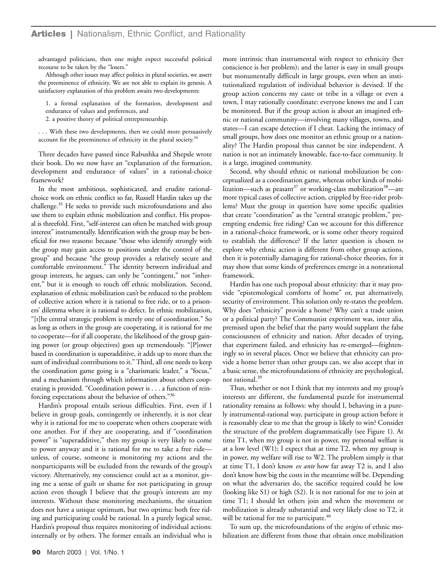advantaged politicians, then one might expect successful political recourse to be taken by the "losers."

Although other issues may affect politics in plural societies, we assert the preeminence of ethnicity. We are not able to explain its genesis. A satisfactory explanation of this problem awaits two developments:

1. a formal explanation of the formation, development and endurance of values and preferences, and

2. a positive theory of political entrepreneurship.

. . . With these two developments, then we could more persuasively account for the preeminence of ethnicity in the plural society. $34$ 

Three decades have passed since Rabushka and Shepsle wrote their book. Do we now have an "explanation of the formation, development and endurance of values" in a rational-choice framework?

In the most ambitious, sophisticated, and erudite rationalchoice work on ethnic conflict so far, Russell Hardin takes up the challenge.<sup>35</sup> He seeks to provide such microfoundations and also use them to explain ethnic mobilization and conflict. His proposal is threefold. First, "self-interest can often be matched with group interest" instrumentally. Identification with the group may be beneficial for two reasons: because "those who identify strongly with the group may gain access to positions under the control of the group" and because "the group provides a relatively secure and comfortable environment." The identity between individual and group interests, he argues, can only be "contingent," not "inherent," but it is enough to touch off ethnic mobilization. Second, explanation of ethnic mobilization can't be reduced to the problem of collective action where it is rational to free ride, or to a prisoners' dilemma where it is rational to defect. In ethnic mobilization, "[t]he central strategic problem is merely one of coordination." So as long as others in the group are cooperating, it is rational for me to cooperate—for if all cooperate, the likelihood of the group gaining power (or group objectives) goes up tremendously. "[P]ower based in coordination is superadditive, it adds up to more than the sum of individual contributions to it." Third, all one needs to keep the coordination game going is a "charismatic leader," a "focus," and a mechanism through which information about others cooperating is provided. "Coordination power is . . . a function of reinforcing expectations about the behavior of others."36

Hardin's proposal entails serious difficulties. First, even if I believe in group goals, contingently or inherently, it is not clear why it is rational for me to cooperate when others cooperate with one another. For if they are cooperating, and if "coordination power" is "superadditive," then my group is very likely to come to power anyway and it is rational for me to take a free ride unless, of course, someone is monitoring my actions and the nonparticipants will be excluded from the rewards of the group's victory. Alternatively, my conscience could act as a monitor, giving me a sense of guilt or shame for not participating in group action even though I believe that the group's interests are my interests. Without these monitoring mechanisms, the situation does not have a unique optimum, but two optima: both free riding and participating could be rational. In a purely logical sense, Hardin's proposal thus requires monitoring of individual actions: internally or by others. The former entails an individual who is more intrinsic than instrumental with respect to ethnicity (her conscience is her problem); and the latter is easy in small groups but monumentally difficult in large groups, even when an institutionalized regulation of individual behavior is devised. If the group action concerns my caste or tribe in a village or even a town, I may rationally coordinate: everyone knows me and I can be monitored. But if the group action is about an imagined ethnic or national community—involving many villages, towns, and states—I can escape detection if I cheat. Lacking the intimacy of small groups, how does one monitor an ethnic group or a nationality? The Hardin proposal thus cannot be size independent. A nation is not an intimately knowable, face-to-face community. It is a large, imagined community.

Second, why should ethnic or national mobilization be conceptualized as a coordination game, whereas other kinds of mobilization—such as peasant<sup>37</sup> or working-class mobilization<sup>38</sup>—are more typical cases of collective action, crippled by free-rider problems? Must the group in question have some specific qualities that create "coordination" as the "central strategic problem," preempting endemic free riding? Can we account for this difference in a rational-choice framework, or is some other theory required to establish the difference? If the latter question is chosen to explore why ethnic action is different from other group actions, then it is potentially damaging for rational-choice theories, for it may show that some kinds of preferences emerge in a nonrational framework.

Hardin has one such proposal about ethnicity: that it may provide "epistemological comforts of home" or, put alternatively, security of environment. This solution only re-states the problem. Why does "ethnicity" provide a home? Why can't a trade union or a political party? The Communist experiment was, inter alia, premised upon the belief that the party would supplant the false consciousness of ethnicity and nation. After decades of trying, that experiment failed, and ethnicity has re-emerged—frighteningly so in several places. Once we believe that ethnicity can provide a home better than other groups can, we also accept that in a basic sense, the microfoundations of ethnicity are psychological, not rational.<sup>39</sup>

Thus, whether or not I think that my interests and my group's interests are different, the fundamental puzzle for instrumental rationality remains as follows: why should I, behaving in a purely instrumental-rational way, participate in group action before it is reasonably clear to me that the group is likely to win? Consider the structure of the problem diagrammatically (see Figure 1). At time T1, when my group is not in power, my personal welfare is at a low level (W1); I expect that at time T2, when my group is in power, my welfare will rise to W2. The problem simply is that at time T1, I don't know *ex ante* how far away T2 is, and I also don't know how big the costs in the meantime will be. Depending on what the adversaries do, the sacrifice required could be low (looking like S1) or high (S2). It is not rational for me to join at time T1; I should let others join and when the movement or mobilization is already substantial and very likely close to T2, it will be rational for me to participate.<sup>40</sup>

To sum up, the microfoundations of the *origins* of ethnic mobilization are different from those that obtain once mobilization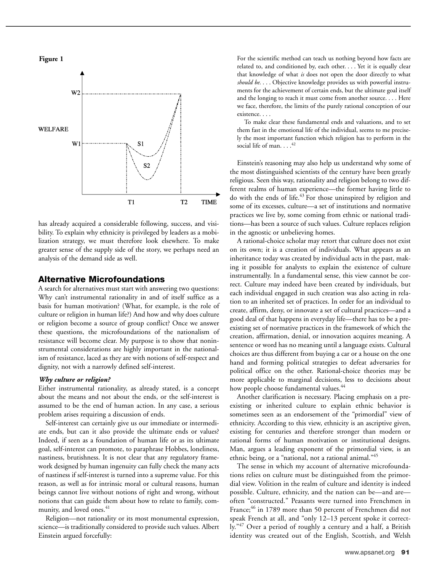



has already acquired a considerable following, success, and visibility. To explain why ethnicity is privileged by leaders as a mobilization strategy, we must therefore look elsewhere. To make greater sense of the supply side of the story, we perhaps need an analysis of the demand side as well.

#### **Alternative Microfoundations**

A search for alternatives must start with answering two questions: Why can't instrumental rationality in and of itself suffice as a basis for human motivation? (What, for example, is the role of culture or religion in human life?) And how and why does culture or religion become a source of group conflict? Once we answer these questions, the microfoundations of the nationalism of resistance will become clear. My purpose is to show that noninstrumental considerations are highly important in the nationalism of resistance, laced as they are with notions of self-respect and dignity, not with a narrowly defined self-interest.

#### *Why culture or religion?*

Either instrumental rationality, as already stated, is a concept about the means and not about the ends, or the self-interest is assumed to be the end of human action. In any case, a serious problem arises requiring a discussion of ends.

Self-interest can certainly give us our immediate or intermediate ends, but can it also provide the ultimate ends or values? Indeed, if seen as a foundation of human life or as its ultimate goal, self-interest can promote, to paraphrase Hobbes, loneliness, nastiness, brutishness. It is not clear that any regulatory framework designed by human ingenuity can fully check the many acts of nastiness if self-interest is turned into a supreme value. For this reason, as well as for intrinsic moral or cultural reasons, human beings cannot live without notions of right and wrong, without notions that can guide them about how to relate to family, community, and loved ones.<sup>41</sup>

Religion—not rationality or its most monumental expression, science—is traditionally considered to provide such values. Albert Einstein argued forcefully:

For the scientific method can teach us nothing beyond how facts are related to, and conditioned by, each other. . . . Yet it is equally clear that knowledge of what *is* does not open the door directly to what *should be*....Objective knowledge provides us with powerful instruments for the achievement of certain ends, but the ultimate goal itself and the longing to reach it must come from another source. . . . Here we face, therefore, the limits of the purely rational conception of our existence....

To make clear these fundamental ends and valuations, and to set them fast in the emotional life of the individual, seems to me precisely the most important function which religion has to perform in the social life of man....<sup>42</sup>

Einstein's reasoning may also help us understand why some of the most distinguished scientists of the century have been greatly religious. Seen this way, rationality and religion belong to two different realms of human experience—the former having little to do with the ends of life.43 For those uninspired by religion and some of its excesses, culture—a set of institutions and normative practices we live by, some coming from ethnic or national traditions—has been a source of such values. Culture replaces religion in the agnostic or unbelieving homes.

A rational-choice scholar may retort that culture does not exist on its own; it is a creation of individuals. What appears as an inheritance today was created by individual acts in the past, making it possible for analysts to explain the existence of culture instrumentally. In a fundamental sense, this view cannot be correct. Culture may indeed have been created by individuals, but each individual engaged in such creation was also acting in relation to an inherited set of practices. In order for an individual to create, affirm, deny, or innovate a set of cultural practices—and a good deal of that happens in everyday life—there has to be a preexisting set of normative practices in the framework of which the creation, affirmation, denial, or innovation acquires meaning. A sentence or word has no meaning until a language exists. Cultural choices are thus different from buying a car or a house on the one hand and forming political strategies to defeat adversaries for political office on the other. Rational-choice theories may be more applicable to marginal decisions, less to decisions about how people choose fundamental values.<sup>44</sup>

Another clarification is necessary. Placing emphasis on a preexisting or inherited culture to explain ethnic behavior is sometimes seen as an endorsement of the "primordial" view of ethnicity. According to this view, ethnicity is an ascriptive given, existing for centuries and therefore stronger than modern or rational forms of human motivation or institutional designs. Man, argues a leading exponent of the primordial view, is an ethnic being, or a "national, not a rational animal."45

The sense in which my account of alternative microfoundations relies on culture must be distinguished from the primordial view. Volition in the realm of culture and identity is indeed possible. Culture, ethnicity, and the nation can be—and are often "constructed." Peasants were turned into Frenchmen in France;<sup>46</sup> in 1789 more than 50 percent of Frenchmen did not speak French at all, and "only 12–13 percent spoke it correctly."<sup>47</sup> Over a period of roughly a century and a half, a British identity was created out of the English, Scottish, and Welsh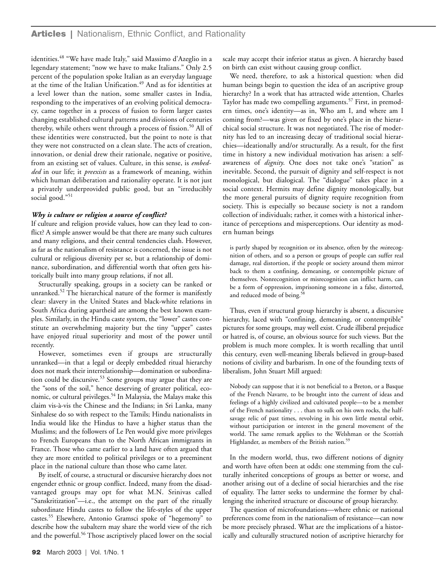identities.<sup>48</sup> "We have made Italy," said Massimo d'Azeglio in a legendary statement; "now we have to make Italians." Only 2.5 percent of the population spoke Italian as an everyday language at the time of the Italian Unification.<sup>49</sup> And as for identities at a level lower than the nation, some smaller castes in India, responding to the imperatives of an evolving political democracy, came together in a process of fusion to form larger castes changing established cultural patterns and divisions of centuries thereby, while others went through a process of fission.<sup>50</sup> All of these identities were constructed, but the point to note is that they were not constructed on a clean slate. The acts of creation, innovation, or denial drew their rationale, negative or positive, from an existing set of values. Culture, in this sense, is *embedded* in our life; it *preexists* as a framework of meaning, within which human deliberation and rationality operate. It is not just a privately underprovided public good, but an "irreducibly social good."<sup>51</sup>

#### *Why is culture or religion a source of conflict?*

If culture and religion provide values, how can they lead to conflict? A simple answer would be that there are many such cultures and many religions, and their central tendencies clash. However, as far as the nationalism of resistance is concerned, the issue is not cultural or religious diversity per se, but a relationship of dominance, subordination, and differential worth that often gets historically built into many group relations, if not all.

Structurally speaking, groups in a society can be ranked or unranked.<sup>52</sup> The hierarchical nature of the former is manifestly clear: slavery in the United States and black-white relations in South Africa during apartheid are among the best known examples. Similarly, in the Hindu caste system, the "lower" castes constitute an overwhelming majority but the tiny "upper" castes have enjoyed ritual superiority and most of the power until recently.

However, sometimes even if groups are structurally unranked—in that a legal or deeply embedded ritual hierarchy does not mark their interrelationship—domination or subordination could be discursive.<sup>53</sup> Some groups may argue that they are the "sons of the soil," hence deserving of greater political, economic, or cultural privileges.<sup>54</sup> In Malaysia, the Malays make this claim vis-à-vis the Chinese and the Indians; in Sri Lanka, many Sinhalese do so with respect to the Tamils; Hindu nationalists in India would like the Hindus to have a higher status than the Muslims; and the followers of Le Pen would give more privileges to French Europeans than to the North African immigrants in France. Those who came earlier to a land have often argued that they are more entitled to political privileges or to a preeminent place in the national culture than those who came later.

By itself, of course, a structural or discursive hierarchy does not engender ethnic or group conflict. Indeed, many from the disadvantaged groups may opt for what M.N. Srinivas called "Sanskritization"—i.e., the attempt on the part of the ritually subordinate Hindu castes to follow the life-styles of the upper castes.<sup>55</sup> Elsewhere, Antonio Gramsci spoke of "hegemony" to describe how the subaltern may share the world view of the rich and the powerful.<sup>56</sup> Those ascriptively placed lower on the social scale may accept their inferior status as given. A hierarchy based on birth can exist without causing group conflict.

We need, therefore, to ask a historical question: when did human beings begin to question the idea of an ascriptive group hierarchy? In a work that has attracted wide attention, Charles Taylor has made two compelling arguments.<sup>57</sup> First, in premodern times, one's identity—as in, Who am I, and where am I coming from?—was given or fixed by one's place in the hierarchical social structure. It was not negotiated. The rise of modernity has led to an increasing decay of traditional social hierarchies—ideationally and/or structurally. As a result, for the first time in history a new individual motivation has arisen: a selfawareness of *dignity*. One does not take one's "station" as inevitable. Second, the pursuit of dignity and self-respect is not monological, but dialogical. The "dialogue" takes place in a social context. Hermits may define dignity monologically, but the more general pursuits of dignity require recognition from society. This is especially so because society is not a random collection of individuals; rather, it comes with a historical inheritance of perceptions and misperceptions. Our identity as modern human beings

is partly shaped by recognition or its absence, often by the *mis*recognition of others, and so a person or groups of people can suffer real damage, real distortion, if the people or society around them mirror back to them a confining, demeaning, or contemptible picture of themselves. Nonrecognition or misrecognition can inflict harm, can be a form of oppression, imprisoning someone in a false, distorted, and reduced mode of being.<sup>58</sup>

Thus, even if structural group hierarchy is absent, a discursive hierarchy, laced with "confining, demeaning, or contemptible" pictures for some groups, may well exist. Crude illiberal prejudice or hatred is, of course, an obvious source for such views. But the problem is much more complex. It is worth recalling that until this century, even well-meaning liberals believed in group-based notions of civility and barbarism. In one of the founding texts of liberalism, John Stuart Mill argued:

Nobody can suppose that it is not beneficial to a Breton, or a Basque of the French Navarre, to be brought into the current of ideas and feelings of a highly civilized and cultivated people—to be a member of the French nationality . . . than to sulk on his own rocks, the halfsavage relic of past times, revolving in his own little mental orbit, without participation or interest in the general movement of the world. The same remark applies to the Welshman or the Scottish Highlander, as members of the British nation.<sup>59</sup>

In the modern world, thus, two different notions of dignity and worth have often been at odds: one stemming from the culturally inherited conceptions of groups as better or worse, and another arising out of a decline of social hierarchies and the rise of equality. The latter seeks to undermine the former by challenging the inherited structure or discourse of group hierarchy.

The question of microfoundations—where ethnic or national preferences come from in the nationalism of resistance—can now be more precisely phrased. What are the implications of a historically and culturally structured notion of ascriptive hierarchy for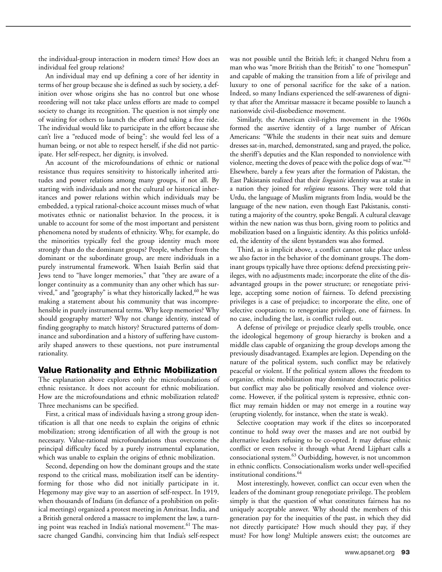the individual-group interaction in modern times? How does an individual feel group relations?

An individual may end up defining a core of her identity in terms of her group because she is defined as such by society, a definition over whose origins she has no control but one whose reordering will not take place unless efforts are made to compel society to change its recognition. The question is not simply one of waiting for others to launch the effort and taking a free ride. The individual would like to participate in the effort because she can't live a "reduced mode of being": she would feel less of a human being, or not able to respect herself, if she did not participate. Her self-respect, her dignity, is involved.

An account of the microfoundations of ethnic or national resistance thus requires sensitivity to historically inherited attitudes and power relations among many groups, if not all. By starting with individuals and not the cultural or historical inheritances and power relations within which individuals may be embedded, a typical rational-choice account misses much of what motivates ethnic or nationalist behavior. In the process, it is unable to account for some of the most important and persistent phenomena noted by students of ethnicity. Why, for example, do the minorities typically feel the group identity much more strongly than do the dominant groups? People, whether from the dominant or the subordinate group, are mere individuals in a purely instrumental framework. When Isaiah Berlin said that Jews tend to "have longer memories," that "they are aware of a longer continuity as a community than any other which has survived," and "geography" is what they historically lacked, $60$  he was making a statement about his community that was incomprehensible in purely instrumental terms. Why keep memories? Why should geography matter? Why not change identity, instead of finding geography to match history? Structured patterns of dominance and subordination and a history of suffering have customarily shaped answers to these questions, not pure instrumental rationality.

## **Value Rationality and Ethnic Mobilization**

The explanation above explores only the microfoundations of ethnic resistance. It does not account for ethnic mobilization. How are the microfoundations and ethnic mobilization related? Three mechanisms can be specified.

First, a critical mass of individuals having a strong group identification is all that one needs to explain the origins of ethnic mobilization; strong identification of all with the group is not necessary. Value-rational microfoundations thus overcome the principal difficulty faced by a purely instrumental explanation, which was unable to explain the origins of ethnic mobilization.

Second, depending on how the dominant groups and the state respond to the critical mass, mobilization itself can be identityforming for those who did not initially participate in it. Hegemony may give way to an assertion of self-respect. In 1919, when thousands of Indians (in defiance of a prohibition on political meetings) organized a protest meeting in Amritsar, India, and a British general ordered a massacre to implement the law, a turning point was reached in India's national movement.<sup>61</sup> The massacre changed Gandhi, convincing him that India's self-respect was not possible until the British left; it changed Nehru from a man who was "more British than the British" to one "homespun" and capable of making the transition from a life of privilege and luxury to one of personal sacrifice for the sake of a nation. Indeed, so many Indians experienced the self-awareness of dignity that after the Amritsar massacre it became possible to launch a nationwide civil-disobedience movement.

Similarly, the American civil-rights movement in the 1960s formed the assertive identity of a large number of African Americans: "While the students in their neat suits and demure dresses sat-in, marched, demonstrated, sang and prayed, the police, the sheriff's deputies and the Klan responded to nonviolence with violence, meeting the doves of peace with the police dogs of war."62 Elsewhere, barely a few years after the formation of Pakistan, the East Pakistanis realized that their *linguistic* identity was at stake in a nation they joined for *religious* reasons. They were told that Urdu, the language of Muslim migrants from India, would be the language of the new nation, even though East Pakistanis, constituting a majority of the country, spoke Bengali. A cultural cleavage within the new nation was thus born, giving room to politics and mobilization based on a linguistic identity. As this politics unfolded, the identity of the silent bystanders was also formed.

Third, as is implicit above, a conflict cannot take place unless we also factor in the behavior of the dominant groups. The dominant groups typically have three options: defend preexisting privileges, with no adjustments made; incorporate the elite of the disadvantaged groups in the power structure; or renegotiate privilege, accepting some notion of fairness. To defend preexisting privileges is a case of prejudice; to incorporate the elite, one of selective cooptation; to renegotiate privilege, one of fairness. In no case, including the last, is conflict ruled out.

A defense of privilege or prejudice clearly spells trouble, once the ideological hegemony of group hierarchy is broken and a middle class capable of organizing the group develops among the previously disadvantaged. Examples are legion. Depending on the nature of the political system, such conflict may be relatively peaceful or violent. If the political system allows the freedom to organize, ethnic mobilization may dominate democratic politics but conflict may also be politically resolved and violence overcome. However, if the political system is repressive, ethnic conflict may remain hidden or may not emerge in a routine way (erupting violently, for instance, when the state is weak).

Selective cooptation may work if the elites so incorporated continue to hold sway over the masses and are not outbid by alternative leaders refusing to be co-opted. It may defuse ethnic conflict or even resolve it through what Arend Lijphart calls a consociational system.63 Outbidding, however, is not uncommon in ethnic conflicts. Consociationalism works under well-specified institutional conditions.<sup>64</sup>

Most interestingly, however, conflict can occur even when the leaders of the dominant group renegotiate privilege. The problem simply is that the question of what constitutes fairness has no uniquely acceptable answer. Why should the members of this generation pay for the inequities of the past, in which they did not directly participate? How much should they pay, if they must? For how long? Multiple answers exist; the outcomes are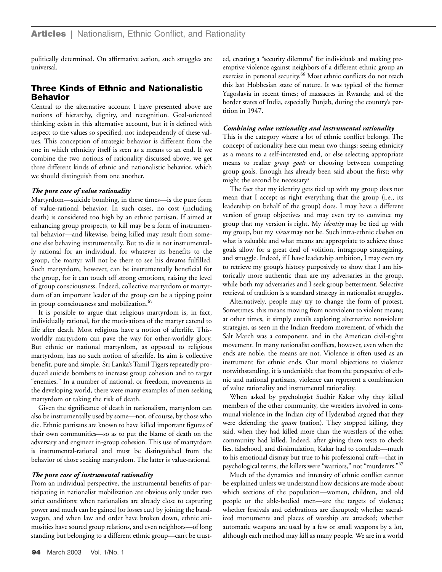politically determined. On affirmative action, such struggles are universal.

# **Three Kinds of Ethnic and Nationalistic Behavior**

Central to the alternative account I have presented above are notions of hierarchy, dignity, and recognition. Goal-oriented thinking exists in this alternative account, but it is defined with respect to the values so specified, not independently of these values. This conception of strategic behavior is different from the one in which ethnicity itself is seen as a means to an end. If we combine the two notions of rationality discussed above, we get three different kinds of ethnic and nationalistic behavior, which we should distinguish from one another.

#### *The pure case of value rationality*

Martyrdom—suicide bombing, in these times—is the pure form of value-rational behavior. In such cases, no cost (including death) is considered too high by an ethnic partisan. If aimed at enhancing group prospects, to kill may be a form of instrumental behavior—and likewise, being killed may result from someone else behaving instrumentally. But to die is not instrumentally rational for an individual, for whatever its benefits to the group, the martyr will not be there to see his dreams fulfilled. Such martyrdom, however, can be instrumentally beneficial for the group, for it can touch off strong emotions, raising the level of group consciousness. Indeed, collective martyrdom or martyrdom of an important leader of the group can be a tipping point in group consciousness and mobilization.<sup>65</sup>

It is possible to argue that religious martyrdom is, in fact, individually rational, for the motivations of the martyr extend to life after death. Most religions have a notion of afterlife. Thisworldly martyrdom can pave the way for other-worldly glory. But ethnic or national martyrdom, as opposed to religious martyrdom, has no such notion of afterlife. Its aim is collective benefit, pure and simple. Sri Lanka's Tamil Tigers repeatedly produced suicide bombers to increase group cohesion and to target "enemies." In a number of national, or freedom, movements in the developing world, there were many examples of men seeking martyrdom or taking the risk of death.

Given the significance of death in nationalism, martyrdom can also be instrumentally used by some—not, of course, by those who die. Ethnic partisans are known to have killed important figures of their own communities—so as to put the blame of death on the adversary and engineer in-group cohesion. This use of martyrdom is instrumental-rational and must be distinguished from the behavior of those seeking martyrdom. The latter is value-rational.

## *The pure case of instrumental rationality*

From an individual perspective, the instrumental benefits of participating in nationalist mobilization are obvious only under two strict conditions: when nationalists are already close to capturing power and much can be gained (or losses cut) by joining the bandwagon, and when law and order have broken down, ethnic animosities have soured group relations, and even neighbors—of long standing but belonging to a different ethnic group—can't be trust-

ed, creating a "security dilemma" for individuals and making preemptive violence against neighbors of a different ethnic group an exercise in personal security.<sup>66</sup> Most ethnic conflicts do not reach this last Hobbesian state of nature. It was typical of the former Yugoslavia in recent times; of massacres in Rwanda; and of the border states of India, especially Punjab, during the country's partition in 1947.

#### *Combining value rationality and instrumental rationality*

This is the category where a lot of ethnic conflict belongs. The concept of rationality here can mean two things: seeing ethnicity as a means to a self-interested end, or else selecting appropriate means to realize *group goals* or choosing between competing group goals. Enough has already been said about the first; why might the second be necessary?

The fact that my identity gets tied up with my group does not mean that I accept as right everything that the group (i.e., its leadership on behalf of the group) does. I may have a different version of group objectives and may even try to convince my group that my version is right. My *identity* may be tied up with my group, but my *views* may not be. Such intra-ethnic clashes on what is valuable and what means are appropriate to achieve those goals allow for a great deal of volition, intragroup strategizing, and struggle. Indeed, if I have leadership ambition, I may even try to retrieve my group's history purposively to show that I am historically more authentic than are my adversaries in the group, while both my adversaries and I seek group betterment. Selective retrieval of tradition is a standard strategy in nationalist struggles.

Alternatively, people may try to change the form of protest. Sometimes, this means moving from nonviolent to violent means; at other times, it simply entails exploring alternative nonviolent strategies, as seen in the Indian freedom movement, of which the Salt March was a component, and in the American civil-rights movement. In many nationalist conflicts, however, even when the ends are noble, the means are not. Violence is often used as an instrument for ethnic ends. Our moral objections to violence notwithstanding, it is undeniable that from the perspective of ethnic and national partisans, violence can represent a combination of value rationality and instrumental rationality.

When asked by psychologist Sudhir Kakar why they killed members of the other community, the wrestlers involved in communal violence in the Indian city of Hyderabad argued that they were defending the *quam* (nation). They stopped killing, they said, when they had killed more than the wrestlers of the other community had killed. Indeed, after giving them tests to check lies, falsehood, and dissimulation, Kakar had to conclude—much to his emotional dismay but true to his professional craft—that in psychological terms, the killers were "warriors," not "murderers."67

Much of the dynamics and intensity of ethnic conflict cannot be explained unless we understand how decisions are made about which sections of the population—women, children, and old people or the able-bodied men—are the targets of violence; whether festivals and celebrations are disrupted; whether sacralized monuments and places of worship are attacked; whether automatic weapons are used by a few or small weapons by a lot, although each method may kill as many people. We are in a world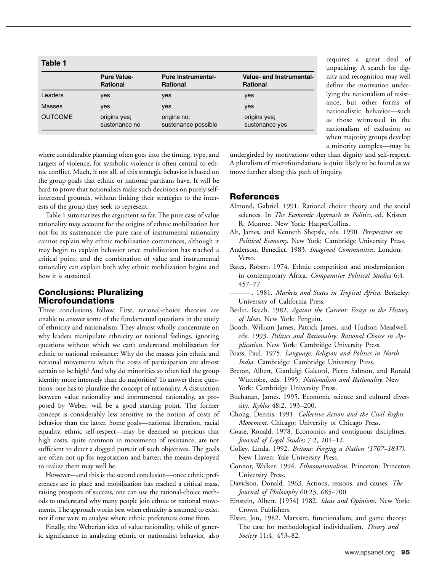| <b>Pure Value-</b><br><b>Rational</b> | <b>Pure Instrumental-</b>          | Value- and Instrumental-       |
|---------------------------------------|------------------------------------|--------------------------------|
|                                       | <b>Rational</b>                    | <b>Rational</b>                |
| yes                                   | yes                                | yes                            |
| <b>ves</b>                            | yes                                | yes                            |
| origins yes;<br>sustenance no         | origins no;<br>sustenance possible | origins yes;<br>sustenance yes |
|                                       |                                    |                                |

requires a great deal of unpacking. A search for dignity and recognition may well define the motivation underlying the nationalism of resistance, but other forms of nationalistic behavior—such as those witnessed in the nationalism of exclusion or when majority groups develop a minority complex—may be

where considerable planning often goes into the timing, type, and targets of violence, for symbolic violence is often central to ethnic conflict. Much, if not all, of this strategic behavior is based on the group goals that ethnic or national partisans have. It will be hard to prove that nationalists make such decisions on purely selfinterested grounds, without linking their strategies to the interests of the group they seek to represent.

Table 1 summarizes the argument so far. The pure case of value rationality may account for the origins of ethnic mobilization but not for its sustenance; the pure case of instrumental rationality cannot explain why ethnic mobilization commences, although it may begin to explain behavior once mobilization has reached a critical point; and the combination of value and instrumental rationality can explain both why ethnic mobilization begins and how it is sustained.

## **Conclusions: Pluralizing Microfoundations**

Three conclusions follow. First, rational-choice theories are unable to answer some of the fundamental questions in the study of ethnicity and nationalism. They almost wholly concentrate on why leaders manipulate ethnicity or national feelings, ignoring questions without which we can't understand mobilization for ethnic or national resistance: Why do the masses join ethnic and national movements when the costs of participation are almost certain to be high? And why do minorities so often feel the group identity more intensely than do majorities? To answer these questions, one has to pluralize the concept of rationality. A distinction between value rationality and instrumental rationality, as proposed by Weber, will be a good starting point. The former concept is considerably less sensitive to the notion of costs of behavior than the latter. Some goals—national liberation, racial equality, ethnic self-respect—may be deemed so precious that high costs, quite common in movements of resistance, are not sufficient to deter a dogged pursuit of such objectives. The goals are often not up for negotiation and barter; the means deployed to realize them may well be.

However—and this is the second conclusion—once ethnic preferences are in place and mobilization has reached a critical mass, raising prospects of success, one can use the rational-choice methods to understand why many people join ethnic or national movements. The approach works best when ethnicity is assumed to exist, not if one were to analyze where ethnic preferences come from.

Finally, the Weberian idea of value rationality, while of generic significance in analyzing ethnic or nationalist behavior, also undergirded by motivations other than dignity and self-respect. A pluralism of microfoundations is quite likely to be found as we move further along this path of inquiry.

# **References**

- Almond, Gabriel. 1991. Rational choice theory and the social sciences. In *The Economic Approach to Politics,* ed. Kristen R. Monroe. New York: HarperCollins.
- Alt, James, and Kenneth Shepsle, eds. 1990. *Perspectives on Political Economy.* New York: Cambridge University Press.
- Anderson, Benedict. 1983. *Imagined Communities.* London: Verso.
- Bates, Robert. 1974. Ethnic competition and modernization in contemporary Africa. *Comparative Political Studies* 6:4, 457–77.
	- . 1981. *Markets and States in Tropical Africa.* Berkeley: University of California Press.
- Berlin, Isaiah. 1982. *Against the Current: Essays in the History of Ideas.* New York: Penguin.
- Booth, William James, Patrick James, and Hudson Meadwell, eds. 1993. *Politics and Rationality: Rational Choice in Application.* New York: Cambridge University Press.
- Brass, Paul. 1975. *Language, Religion and Politics in North India.* Cambridge: Cambridge University Press.
- Breton, Albert, Gianluigi Galeotti, Pierre Salmon, and Ronald Wintrobe, eds. 1995. *Nationalism and Rationality.* New York: Cambridge University Press.
- Buchanan, James. 1995. Economic science and cultural diversity. *Kyklos* 48:2, 193–200.
- Chong, Dennis. 1991. *Collective Action and the Civil Rights Movement.* Chicago: University of Chicago Press.
- Coase, Ronald. 1978. Economics and contiguous disciplines. *Journal of Legal Studies* 7:2, 201–12.
- Colley, Linda. 1992. *Britons: Forging a Nation (1707–1837).* New Haven: Yale University Press.
- Connor, Walker. 1994. *Ethnonationalism.* Princeton: Princeton University Press.
- Davidson, Donald. 1963. Actions, reasons, and causes. *The Journal of Philosophy* 60:23, 685–700.
- Einstein, Albert. [1954] 1982. *Ideas and Opinions.* New York: Crown Publishers.
- Elster, Jon, 1982. Marxism, functionalism, and game theory: The case for methodological individualism. *Theory and Society* 11:4, 453–82.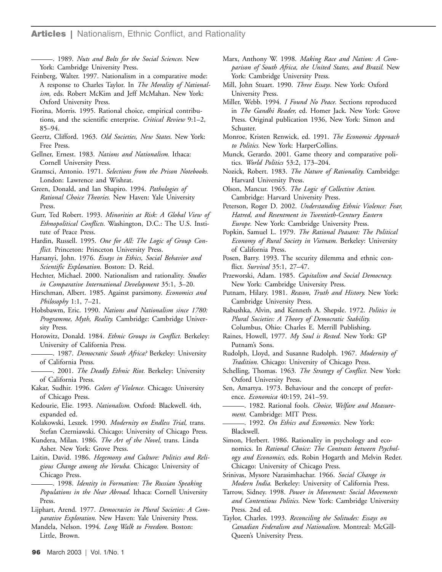. 1989. *Nuts and Bolts for the Social Sciences.* New York: Cambridge University Press.

- Feinberg, Walter. 1997. Nationalism in a comparative mode: A response to Charles Taylor. In *The Morality of Nationalism,* eds. Robert McKim and Jeff McMahan. New York: Oxford University Press.
- Fiorina, Morris. 1995. Rational choice, empirical contributions, and the scientific enterprise. *Critical Review* 9:1–2, 85–94.
- Geertz, Clifford. 1963. *Old Societies, New States*. New York: Free Press.
- Gellner, Ernest. 1983. *Nations and Nationalism.* Ithaca: Cornell University Press.
- Gramsci, Antonio. 1971. *Selections from the Prison Notebooks.* London: Lawrence and Wishrat.
- Green, Donald, and Ian Shapiro. 1994. *Pathologies of Rational Choice Theories.* New Haven: Yale University Press.
- Gurr, Ted Robert. 1993. *Minorities at Risk: A Global View of Ethnopolitical Conflicts.* Washington, D.C.: The U.S. Institute of Peace Press.
- Hardin, Russell. 1995. *One for All: The Logic of Group Conflict.* Princeton: Princeton University Press.
- Harsanyi, John. 1976. *Essays in Ethics, Social Behavior and Scientific Explanation.* Boston: D. Reid.
- Hechter, Michael. 2000. Nationalism and rationality. *Studies in Comparative International Development* 35:1, 3–20.
- Hirschman, Albert. 1985. Against parsimony. *Economics and Philosophy* 1:1, 7–21.

Hobsbawm, Eric. 1990. *Nations and Nationalism since 1780: Programme, Myth, Reality.* Cambridge: Cambridge University Press.

- Horowitz, Donald. 1984. *Ethnic Groups in Conflict.* Berkeley: University of California Press.
- . 1987. *Democratic South Africa?* Berkeley: University of California Press.
- . 2001. *The Deadly Ethnic Riot.* Berkeley: University of California Press.
- Kakar, Sudhir. 1996. *Colors of Violence.* Chicago: University of Chicago Press.
- Kedourie, Elie. 1993. *Nationalism.* Oxford: Blackwell. 4th, expanded ed.
- Kolakowski, Leszek. 1990. *Modernity on Endless Trial,* trans. Stefan Czerniawski. Chicago: University of Chicago Press.
- Kundera, Milan. 1986. *The Art of the Novel,* trans. Linda Asher. New York: Grove Press.
- Laitin, David. 1986. *Hegemony and Culture: Politics and Religious Change among the Yoruba.* Chicago: University of Chicago Press.

. 1998. *Identity in Formation: The Russian Speaking Populations in the Near Abroad.* Ithaca: Cornell University Press.

- Lijphart, Arend. 1977. *Democracies in Plural Societies: A Comparative Exploration.* New Haven: Yale University Press.
- Mandela, Nelson. 1994. *Long Walk to Freedom.* Boston: Little, Brown.
- Marx, Anthony W. 1998. *Making Race and Nation: A Comparison of South Africa, the United States, and Brazil.* New York: Cambridge University Press.
- Mill, John Stuart. 1990. *Three Essays.* New York: Oxford University Press.
- Miller, Webb. 1994. *I Found No Peace.* Sections reproduced in *The Gandhi Reader,* ed. Homer Jack. New York: Grove Press. Original publication 1936, New York: Simon and Schuster.
- Monroe, Kristen Renwick, ed. 1991. *The Economic Approach to Politics.* New York: HarperCollins.
- Munck, Gerardo. 2001. Game theory and comparative politics. *World Politics* 53:2, 173–204.
- Nozick, Robert. 1983. *The Nature of Rationality.* Cambridge: Harvard University Press.
- Olson, Mancur. 1965. *The Logic of Collective Action.* Cambridge: Harvard University Press.
- Peterson, Roger D. 2002. *Understanding Ethnic Violence: Fear, Hatred, and Resentment in Twentieth-Century Eastern Europe.* New York: Cambridge University Press.
- Popkin, Samuel L. 1979. *The Rational Peasant: The Political Economy of Rural Society in Vietnam.* Berkeley: University of California Press.
- Posen, Barry. 1993. The security dilemma and ethnic conflict. *Survival* 35:1, 27–47.
- Przeworski, Adam. 1985. *Capitalism and Social Democracy.* New York: Cambridge University Press.
- Putnam, Hilary. 1981. *Reason, Truth and History.* New York: Cambridge University Press.
- Rabushka, Alvin, and Kenneth A. Shepsle. 1972. *Politics in Plural Societies: A Theory of Democratic Stability.* Columbus, Ohio: Charles E. Merrill Publishing.
- Raines, Howell, 1977. *My Soul is Rested.* New York: GP Putnam's Sons.
- Rudolph, Lloyd, and Susanne Rudolph. 1967. *Modernity of Tradition.* Chicago: University of Chicago Press.
- Schelling, Thomas. 1963. *The Strategy of Conflict.* New York: Oxford University Press.
- Sen, Amartya. 1973. Behaviour and the concept of preference. *Economica* 40:159, 241–59.
- . 1982. Rational fools. *Choice, Welfare and Measurement.* Cambridge: MIT Press.
- . 1992. *On Ethics and Economics.* New York: Blackwell.
- Simon, Herbert. 1986. Rationality in psychology and economics. In *Rational Choice: The Contrasts between Psychology and Economics,* eds. Robin Hogarth and Melvin Reder. Chicago: University of Chicago Press.
- Srinivas, Mysore Narasimhachar. 1966. *Social Change in Modern India.* Berkeley: University of California Press.
- Tarrow, Sidney. 1998. *Power in Movement: Social Movements and Contentious Politics.* New York: Cambridge University Press. 2nd ed.
- Taylor, Charles. 1993. *Reconciling the Solitudes: Essays on Canadian Federalism and Nationalism.* Montreal: McGill-Queen's University Press.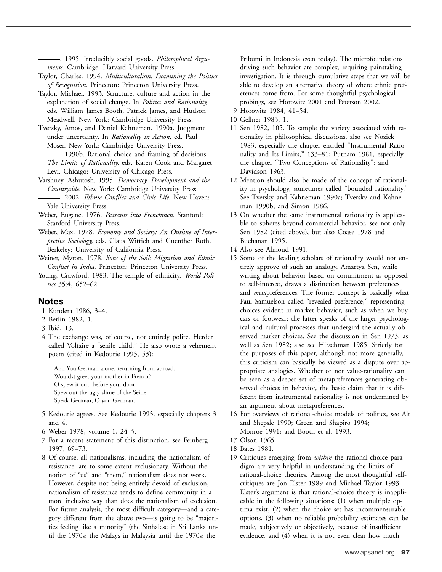. 1995. Irreducibly social goods. *Philosophical Arguments.* Cambridge: Harvard University Press.

- Taylor, Charles. 1994. *Multiculturalism: Examining the Politics of Recognition.* Princeton: Princeton University Press.
- Taylor, Michael. 1993. Structure, culture and action in the explanation of social change. In *Politics and Rationality,* eds. William James Booth, Patrick James, and Hudson Meadwell. New York: Cambridge University Press.
- Tversky, Amos, and Daniel Kahneman. 1990a. Judgment under uncertainty. In *Rationality in Action,* ed. Paul Moser. New York: Cambridge University Press.
- . 1990b. Rational choice and framing of decisions. *The Limits of Rationality,* eds. Karen Cook and Margaret Levi. Chicago: University of Chicago Press.
- Varshney, Ashutosh. 1995. *Democracy, Development and the Countryside.* New York: Cambridge University Press. . 2002. *Ethnic Conflict and Civic Life.* New Haven:
- Yale University Press. Weber, Eugene. 1976. *Peasants into Frenchmen.* Stanford:
- Stanford University Press.
- Weber, Max. 1978. *Economy and Society: An Outline of Interpretive Sociology,* eds. Claus Wittich and Guenther Roth. Berkeley: University of California Press.
- Weiner, Myron. 1978. *Sons of the Soil: Migration and Ethnic Conflict in India.* Princeton: Princeton University Press.
- Young, Crawford. 1983. The temple of ethnicity. *World Politics* 35:4, 652–62.

## **Notes**

- 1 Kundera 1986, 3–4.
- 2 Berlin 1982, 1.
- 3 Ibid, 13.
- 4 The exchange was, of course, not entirely polite. Herder called Voltaire a "senile child." He also wrote a vehement poem (cited in Kedourie 1993, 53):

And You German alone, returning from abroad, Wouldst greet your mother in French? O spew it out, before your door Spew out the ugly slime of the Seine Speak German, O you German.

- 5 Kedourie agrees. See Kedourie 1993, especially chapters 3 and 4.
- 6 Weber 1978, volume 1, 24–5.
- 7 For a recent statement of this distinction, see Feinberg 1997, 69–73.
- 8 Of course, all nationalisms, including the nationalism of resistance, are to some extent exclusionary. Without the notion of "us" and "them," nationalism does not work. However, despite not being entirely devoid of exclusion, nationalism of resistance tends to define community in a more inclusive way than does the nationalism of exclusion. For future analysis, the most difficult category—and a category different from the above two—is going to be "majorities feeling like a minority" (the Sinhalese in Sri Lanka until the 1970s; the Malays in Malaysia until the 1970s; the

Pribumi in Indonesia even today). The microfoundations driving such behavior are complex, requiring painstaking investigation. It is through cumulative steps that we will be able to develop an alternative theory of where ethnic preferences come from. For some thoughtful psychological probings, see Horowitz 2001 and Peterson 2002.

- 9 Horowitz 1984, 41–54.
- 10 Gellner 1983, 1.
- 11 Sen 1982, 105. To sample the variety associated with rationality in philosophical discussions, also see Nozick 1983, especially the chapter entitled "Instrumental Rationality and Its Limits," 133–81; Putnam 1981, especially the chapter "Two Conceptions of Rationality"; and Davidson 1963.
- 12 Mention should also be made of the concept of rationality in psychology, sometimes called "bounded rationality." See Tversky and Kahneman 1990a; Tversky and Kahneman 1990b; and Simon 1986.
- 13 On whether the same instrumental rationality is applicable to spheres beyond commercial behavior, see not only Sen 1982 (cited above), but also Coase 1978 and Buchanan 1995.
- 14 Also see Almond 1991.
- 15 Some of the leading scholars of rationality would not entirely approve of such an analogy. Amartya Sen, while writing about behavior based on commitment as opposed to self-interest, draws a distinction between preferences and *meta*preferences. The former concept is basically what Paul Samuelson called "revealed preference," representing choices evident in market behavior, such as when we buy cars or footwear; the latter speaks of the larger psychological and cultural processes that undergird the actually observed market choices. See the discussion in Sen 1973, as well as Sen 1982; also see Hirschman 1985. Strictly for the purposes of this paper, although not more generally, this criticism can basically be viewed as a dispute over appropriate analogies. Whether or not value-rationality can be seen as a deeper set of metapreferences generating observed choices in behavior, the basic claim that it is different from instrumental rationality is not undermined by an argument about metapreferences.
- 16 For overviews of rational-choice models of politics, see Alt and Shepsle 1990; Green and Shapiro 1994; Monroe 1991; and Booth et al. 1993.
- 17 Olson 1965.
- 18 Bates 1981.
- 19 Critiques emerging from *within* the rational-choice paradigm are very helpful in understanding the limits of rational-choice theories. Among the most thoughtful selfcritiques are Jon Elster 1989 and Michael Taylor 1993. Elster's argument is that rational-choice theory is inapplicable in the following situations: (1) when multiple optima exist, (2) when the choice set has incommensurable options, (3) when no reliable probability estimates can be made, subjectively or objectively, because of insufficient evidence, and (4) when it is not even clear how much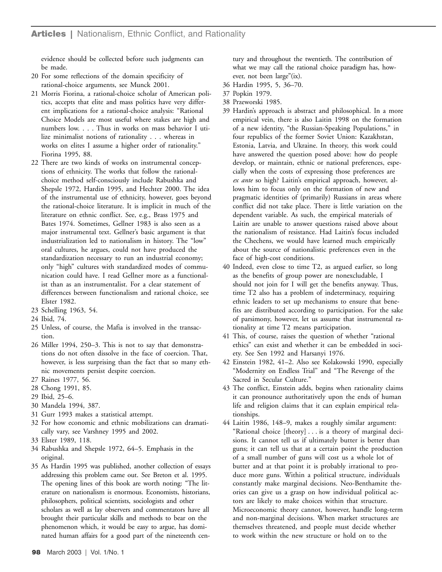evidence should be collected before such judgments can be made.

- 20 For some reflections of the domain specificity of rational-choice arguments, see Munck 2001.
- 21 Morris Fiorina, a rational-choice scholar of American politics, accepts that elite and mass politics have very different implications for a rational-choice analysis: "Rational Choice Models are most useful where stakes are high and numbers low. . . . Thus in works on mass behavior I utilize minimalist notions of rationality . . . whereas in works on elites I assume a higher order of rationality." Fiorina 1995, 88.
- 22 There are two kinds of works on instrumental conceptions of ethnicity. The works that follow the rationalchoice method self-consciously include Rabushka and Shepsle 1972, Hardin 1995, and Hechter 2000. The idea of the instrumental use of ethnicity, however, goes beyond the rational-choice literature. It is implicit in much of the literature on ethnic conflict. See, e.g., Brass 1975 and Bates 1974. Sometimes, Gellner 1983 is also seen as a major instrumental text. Gellner's basic argument is that industrialization led to nationalism in history. The "low" oral cultures, he argues, could not have produced the standardization necessary to run an industrial economy; only "high" cultures with standardized modes of communication could have. I read Gellner more as a functionalist than as an instrumentalist. For a clear statement of differences between functionalism and rational choice, see Elster 1982.
- 23 Schelling 1963, 54.
- 24 Ibid, 74.
- 25 Unless, of course, the Mafia is involved in the transaction.
- 26 Miller 1994, 250–3. This is not to say that demonstrations do not often dissolve in the face of coercion. That, however, is less surprising than the fact that so many ethnic movements persist despite coercion.
- 27 Raines 1977, 56.
- 28 Chong 1991, 85.
- 29 Ibid, 25–6.
- 30 Mandela 1994, 387.
- 31 Gurr 1993 makes a statistical attempt.
- 32 For how economic and ethnic mobilizations can dramatically vary, see Varshney 1995 and 2002.
- 33 Elster 1989, 118.
- 34 Rabushka and Shepsle 1972, 64–5. Emphasis in the original.
- 35 As Hardin 1995 was published, another collection of essays addressing this problem came out. See Breton et al. 1995. The opening lines of this book are worth noting: "The literature on nationalism is enormous. Economists, historians, philosophers, political scientists, sociologists and other scholars as well as lay observers and commentators have all brought their particular skills and methods to bear on the phenomenon which, it would be easy to argue, has dominated human affairs for a good part of the nineteenth cen-

tury and throughout the twentieth. The contribution of what we may call the rational choice paradigm has, however, not been large"(ix).

- 36 Hardin 1995, 5, 36–70.
- 37 Popkin 1979.
- 38 Przeworski 1985.
- 39 Hardin's approach is abstract and philosophical. In a more empirical vein, there is also Laitin 1998 on the formation of a new identity, "the Russian-Speaking Populations," in four republics of the former Soviet Union: Kazakhstan, Estonia, Latvia, and Ukraine. In theory, this work could have answered the question posed above: how do people develop, or maintain, ethnic or national preferences, especially when the costs of expressing those preferences are *ex ante* so high? Laitin's empirical approach, however, allows him to focus only on the formation of new and pragmatic identities of (primarily) Russians in areas where conflict did not take place. There is little variation on the dependent variable. As such, the empirical materials of Laitin are unable to answer questions raised above about the nationalism of resistance. Had Laitin's focus included the Chechens, we would have learned much empirically about the source of nationalistic preferences even in the face of high-cost conditions.
- 40 Indeed, even close to time T2, as argued earlier, so long as the benefits of group power are nonexcludable, I should not join for I will get the benefits anyway. Thus, time T2 also has a problem of indeterminacy, requiring ethnic leaders to set up mechanisms to ensure that benefits are distributed according to participation. For the sake of parsimony, however, let us assume that instrumental rationality at time T2 means participation.
- 41 This, of course, raises the question of whether "rational ethics" can exist and whether it can be embedded in society. See Sen 1992 and Harsanyi 1976.
- 42 Einstein 1982, 41–2. Also see Kolakowski 1990, especially "Modernity on Endless Trial" and "The Revenge of the Sacred in Secular Culture."
- 43 The conflict, Einstein adds, begins when rationality claims it can pronounce authoritatively upon the ends of human life and religion claims that it can explain empirical relationships.
- 44 Laitin 1986, 148–9, makes a roughly similar argument: "Rational choice [theory] . . . is a theory of marginal decisions. It cannot tell us if ultimately butter is better than guns; it can tell us that at a certain point the production of a small number of guns will cost us a whole lot of butter and at that point it is probably irrational to produce more guns. Within a political structure, individuals constantly make marginal decisions. Neo-Benthamite theories can give us a grasp on how individual political actors are likely to make choices within that structure. Microeconomic theory cannot, however, handle long-term and non-marginal decisions. When market structures are themselves threatened, and people must decide whether to work within the new structure or hold on to the